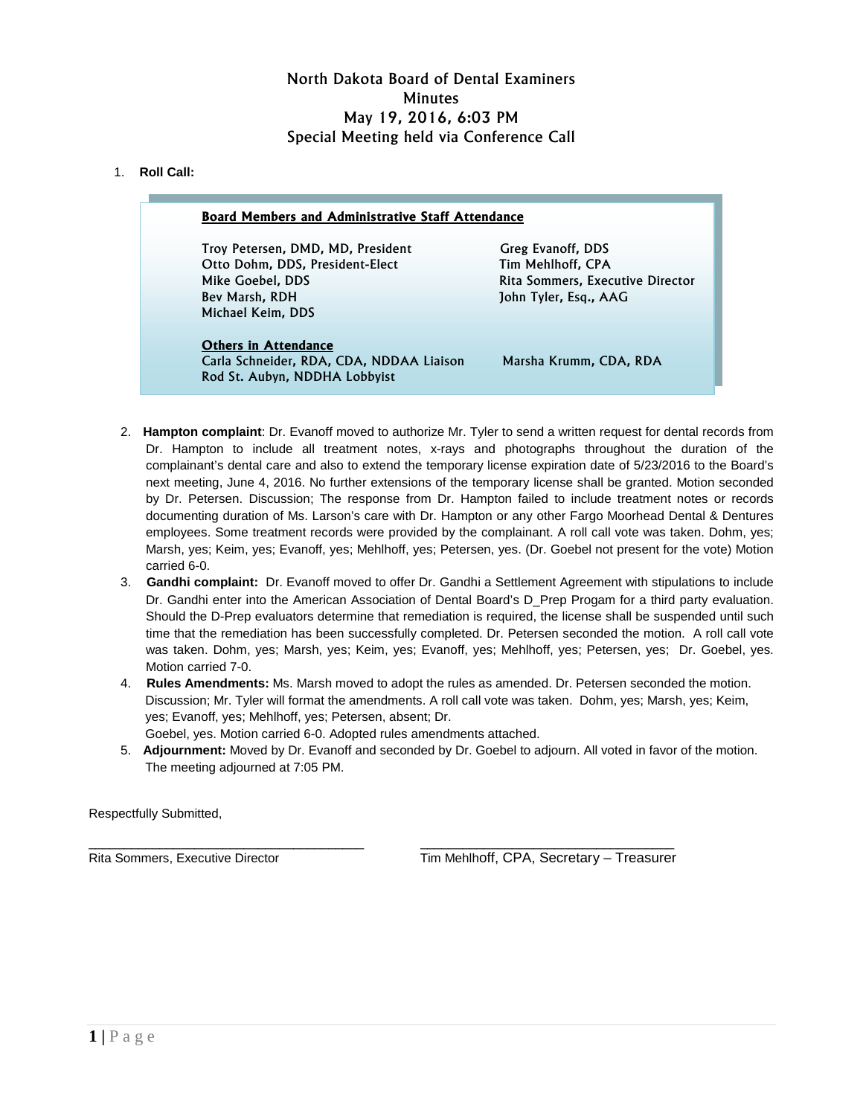# North Dakota Board of Dental Examiners **Minutes** May 19, 2016, 6:03 PM Special Meeting held via Conference Call

## 1. **Roll Call:**  Г

| <b>Board Members and Administrative Staff Attendance</b>                                                                        |                                                                                                     |
|---------------------------------------------------------------------------------------------------------------------------------|-----------------------------------------------------------------------------------------------------|
| Troy Petersen, DMD, MD, President<br>Otto Dohm, DDS, President-Elect<br>Mike Goebel, DDS<br>Bev Marsh, RDH<br>Michael Keim, DDS | Greg Evanoff, DDS<br>Tim Mehlhoff, CPA<br>Rita Sommers, Executive Director<br>John Tyler, Esg., AAG |
| <b>Others in Attendance</b><br>Carla Schneider, RDA, CDA, NDDAA Liaison<br>Rod St. Aubyn, NDDHA Lobbyist                        | Marsha Krumm, CDA, RDA                                                                              |

- 2. **Hampton complaint**: Dr. Evanoff moved to authorize Mr. Tyler to send a written request for dental records from Dr. Hampton to include all treatment notes, x-rays and photographs throughout the duration of the complainant's dental care and also to extend the temporary license expiration date of 5/23/2016 to the Board's next meeting, June 4, 2016. No further extensions of the temporary license shall be granted. Motion seconded by Dr. Petersen. Discussion; The response from Dr. Hampton failed to include treatment notes or records documenting duration of Ms. Larson's care with Dr. Hampton or any other Fargo Moorhead Dental & Dentures employees. Some treatment records were provided by the complainant. A roll call vote was taken. Dohm, yes; Marsh, yes; Keim, yes; Evanoff, yes; Mehlhoff, yes; Petersen, yes. (Dr. Goebel not present for the vote) Motion carried 6-0.
- 3. **Gandhi complaint:** Dr. Evanoff moved to offer Dr. Gandhi a Settlement Agreement with stipulations to include Dr. Gandhi enter into the American Association of Dental Board's D\_Prep Progam for a third party evaluation. Should the D-Prep evaluators determine that remediation is required, the license shall be suspended until such time that the remediation has been successfully completed. Dr. Petersen seconded the motion. A roll call vote was taken. Dohm, yes; Marsh, yes; Keim, yes; Evanoff, yes; Mehlhoff, yes; Petersen, yes; Dr. Goebel, yes. Motion carried 7-0.
- 4. **Rules Amendments:** Ms. Marsh moved to adopt the rules as amended. Dr. Petersen seconded the motion. Discussion; Mr. Tyler will format the amendments. A roll call vote was taken. Dohm, yes; Marsh, yes; Keim, yes; Evanoff, yes; Mehlhoff, yes; Petersen, absent; Dr.
	- Goebel, yes. Motion carried 6-0. Adopted rules amendments attached.
- 5. **Adjournment:** Moved by Dr. Evanoff and seconded by Dr. Goebel to adjourn. All voted in favor of the motion. The meeting adjourned at 7:05 PM.

Respectfully Submitted,

\_\_\_\_\_\_\_\_\_\_\_\_\_\_\_\_\_\_\_\_\_\_\_\_\_\_\_\_\_\_\_\_\_\_\_\_\_\_\_ \_\_\_\_\_\_\_\_\_\_\_\_\_\_\_\_\_\_\_\_\_\_\_\_\_\_\_\_\_\_\_\_\_\_\_\_ Rita Sommers, Executive Director Tim Mehlhoff, CPA, Secretary – Treasurer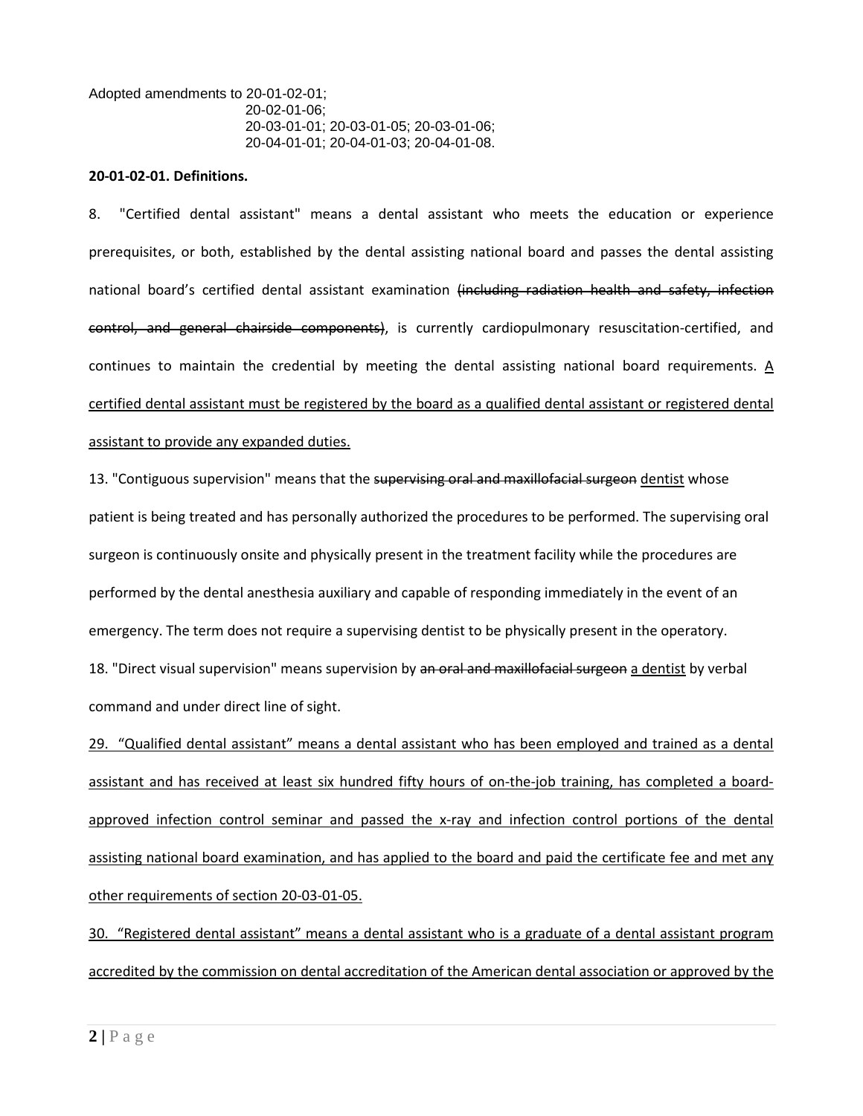Adopted amendments to 20-01-02-01; 20-02-01-06; 20-03-01-01; 20-03-01-05; 20-03-01-06; 20-04-01-01; 20-04-01-03; 20-04-01-08.

#### **20-01-02-01. Definitions.**

8. "Certified dental assistant" means a dental assistant who meets the education or experience prerequisites, or both, established by the dental assisting national board and passes the dental assisting national board's certified dental assistant examination (including radiation health and safety, infection control, and general chairside components), is currently cardiopulmonary resuscitation-certified, and continues to maintain the credential by meeting the dental assisting national board requirements. A certified dental assistant must be registered by the board as a qualified dental assistant or registered dental assistant to provide any expanded duties.

13. "Contiguous supervision" means that the supervising oral and maxillofacial surgeon dentist whose patient is being treated and has personally authorized the procedures to be performed. The supervising oral surgeon is continuously onsite and physically present in the treatment facility while the procedures are performed by the dental anesthesia auxiliary and capable of responding immediately in the event of an emergency. The term does not require a supervising dentist to be physically present in the operatory. 18. "Direct visual supervision" means supervision by an oral and maxillofacial surgeon a dentist by verbal command and under direct line of sight.

29. "Qualified dental assistant" means a dental assistant who has been employed and trained as a dental assistant and has received at least six hundred fifty hours of on-the-job training, has completed a boardapproved infection control seminar and passed the x-ray and infection control portions of the dental assisting national board examination, and has applied to the board and paid the certificate fee and met anv other requirements of section 20-03-01-05.

30. "Registered dental assistant" means a dental assistant who is a graduate of a dental assistant program accredited by the commission on dental accreditation of the American dental association or approved by the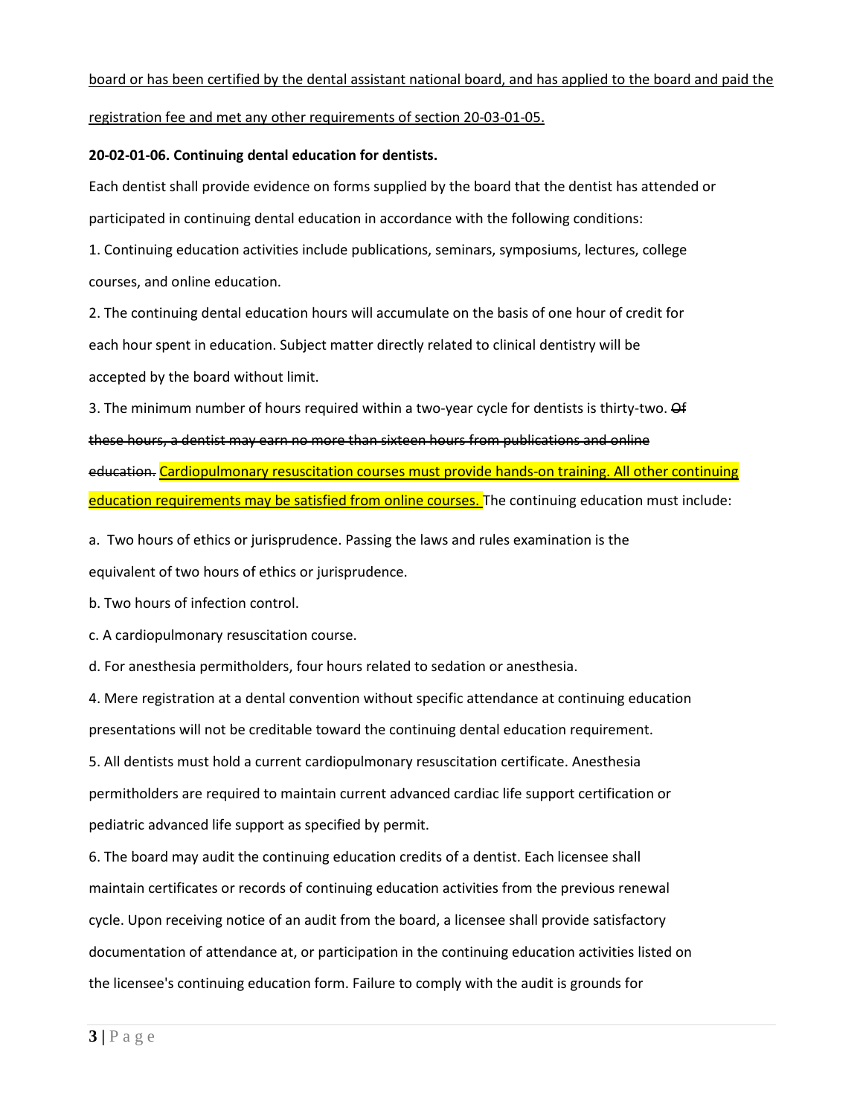### board or has been certified by the dental assistant national board, and has applied to the board and paid the

### registration fee and met any other requirements of section 20-03-01-05.

#### **20-02-01-06. Continuing dental education for dentists.**

Each dentist shall provide evidence on forms supplied by the board that the dentist has attended or participated in continuing dental education in accordance with the following conditions:

1. Continuing education activities include publications, seminars, symposiums, lectures, college courses, and online education.

2. The continuing dental education hours will accumulate on the basis of one hour of credit for each hour spent in education. Subject matter directly related to clinical dentistry will be accepted by the board without limit.

3. The minimum number of hours required within a two-year cycle for dentists is thirty-two. Of these hours, a dentist may earn no more than sixteen hours from publications and online education. Cardiopulmonary resuscitation courses must provide hands-on training. All other continuing education requirements may be satisfied from online courses. The continuing education must include:

a. Two hours of ethics or jurisprudence. Passing the laws and rules examination is the equivalent of two hours of ethics or jurisprudence.

b. Two hours of infection control.

c. A cardiopulmonary resuscitation course.

d. For anesthesia permitholders, four hours related to sedation or anesthesia.

4. Mere registration at a dental convention without specific attendance at continuing education presentations will not be creditable toward the continuing dental education requirement.

5. All dentists must hold a current cardiopulmonary resuscitation certificate. Anesthesia permitholders are required to maintain current advanced cardiac life support certification or pediatric advanced life support as specified by permit.

6. The board may audit the continuing education credits of a dentist. Each licensee shall maintain certificates or records of continuing education activities from the previous renewal cycle. Upon receiving notice of an audit from the board, a licensee shall provide satisfactory documentation of attendance at, or participation in the continuing education activities listed on the licensee's continuing education form. Failure to comply with the audit is grounds for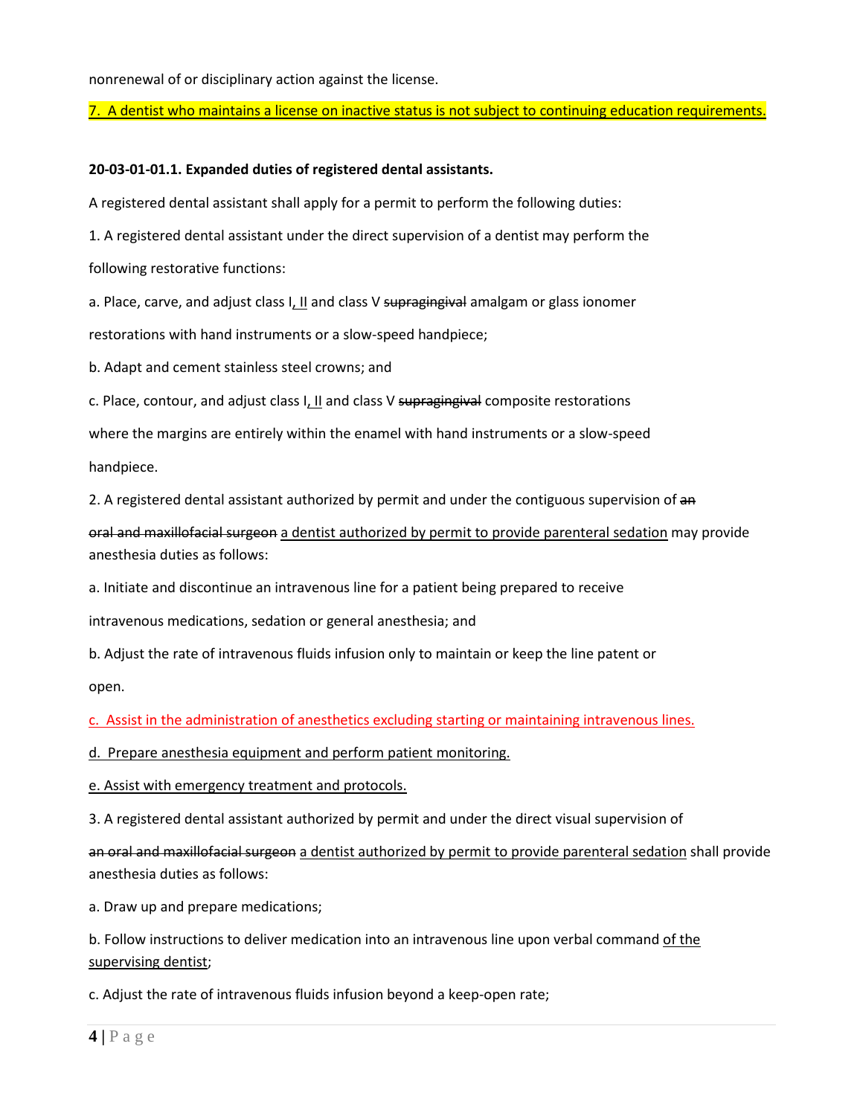nonrenewal of or disciplinary action against the license.

7. A dentist who maintains a license on inactive status is not subject to continuing education requirements.

### **20-03-01-01.1. Expanded duties of registered dental assistants.**

A registered dental assistant shall apply for a permit to perform the following duties:

1. A registered dental assistant under the direct supervision of a dentist may perform the

following restorative functions:

a. Place, carve, and adjust class I, II and class V supragingival amalgam or glass ionomer

restorations with hand instruments or a slow-speed handpiece;

b. Adapt and cement stainless steel crowns; and

c. Place, contour, and adjust class I, II and class V supragingival composite restorations

where the margins are entirely within the enamel with hand instruments or a slow-speed

handpiece.

2. A registered dental assistant authorized by permit and under the contiguous supervision of an

oral and maxillofacial surgeon a dentist authorized by permit to provide parenteral sedation may provide anesthesia duties as follows:

a. Initiate and discontinue an intravenous line for a patient being prepared to receive

intravenous medications, sedation or general anesthesia; and

b. Adjust the rate of intravenous fluids infusion only to maintain or keep the line patent or

open.

c. Assist in the administration of anesthetics excluding starting or maintaining intravenous lines.

d. Prepare anesthesia equipment and perform patient monitoring.

e. Assist with emergency treatment and protocols.

3. A registered dental assistant authorized by permit and under the direct visual supervision of

an oral and maxillofacial surgeon a dentist authorized by permit to provide parenteral sedation shall provide anesthesia duties as follows:

a. Draw up and prepare medications;

b. Follow instructions to deliver medication into an intravenous line upon verbal command of the supervising dentist;

c. Adjust the rate of intravenous fluids infusion beyond a keep-open rate;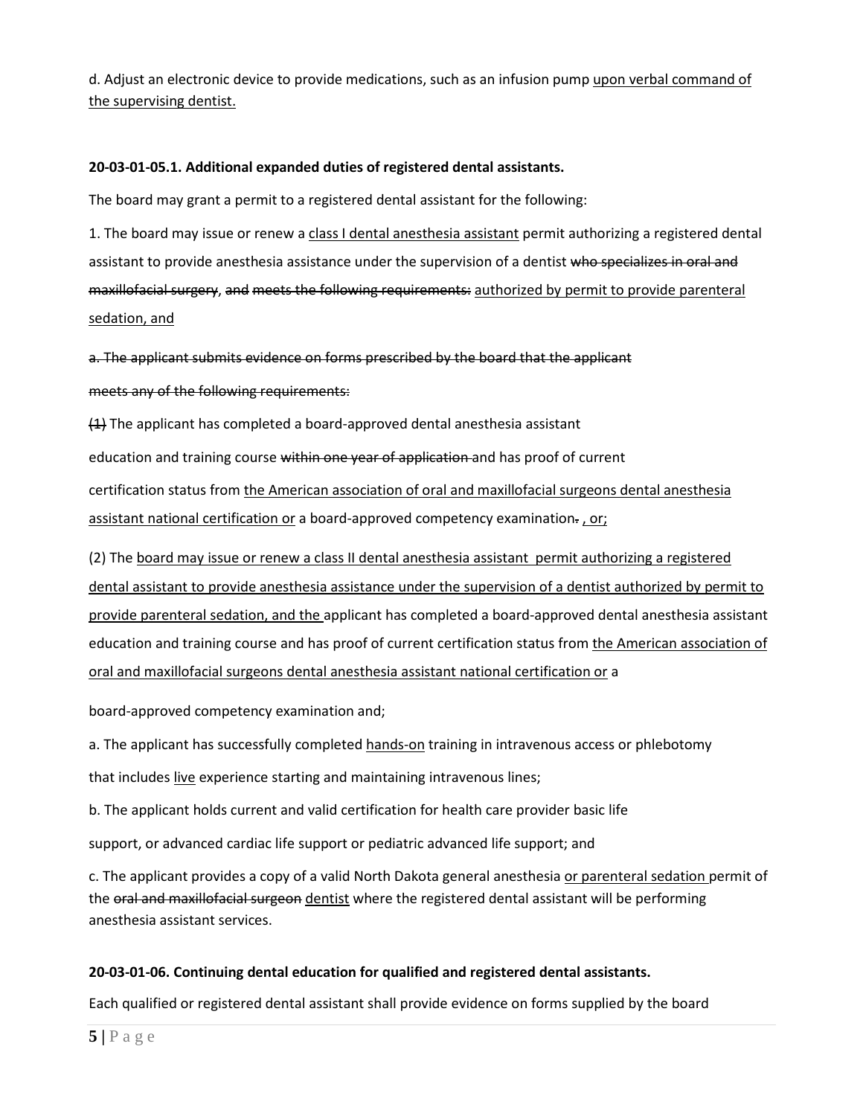d. Adjust an electronic device to provide medications, such as an infusion pump upon verbal command of the supervising dentist.

## **20-03-01-05.1. Additional expanded duties of registered dental assistants.**

The board may grant a permit to a registered dental assistant for the following:

1. The board may issue or renew a class I dental anesthesia assistant permit authorizing a registered dental assistant to provide anesthesia assistance under the supervision of a dentist who specializes in oral and maxillofacial surgery, and meets the following requirements: authorized by permit to provide parenteral sedation, and

a. The applicant submits evidence on forms prescribed by the board that the applicant meets any of the following requirements:

 $(4)$  The applicant has completed a board-approved dental anesthesia assistant education and training course within one year of application and has proof of current certification status from the American association of oral and maxillofacial surgeons dental anesthesia assistant national certification or a board-approved competency examination-, or;

(2) The board may issue or renew a class II dental anesthesia assistant permit authorizing a registered dental assistant to provide anesthesia assistance under the supervision of a dentist authorized by permit to provide parenteral sedation, and the applicant has completed a board-approved dental anesthesia assistant education and training course and has proof of current certification status from the American association of oral and maxillofacial surgeons dental anesthesia assistant national certification or a

board-approved competency examination and;

a. The applicant has successfully completed hands-on training in intravenous access or phlebotomy

that includes live experience starting and maintaining intravenous lines;

b. The applicant holds current and valid certification for health care provider basic life

support, or advanced cardiac life support or pediatric advanced life support; and

c. The applicant provides a copy of a valid North Dakota general anesthesia or parenteral sedation permit of the oral and maxillofacial surgeon dentist where the registered dental assistant will be performing anesthesia assistant services.

## **20-03-01-06. Continuing dental education for qualified and registered dental assistants.**

Each qualified or registered dental assistant shall provide evidence on forms supplied by the board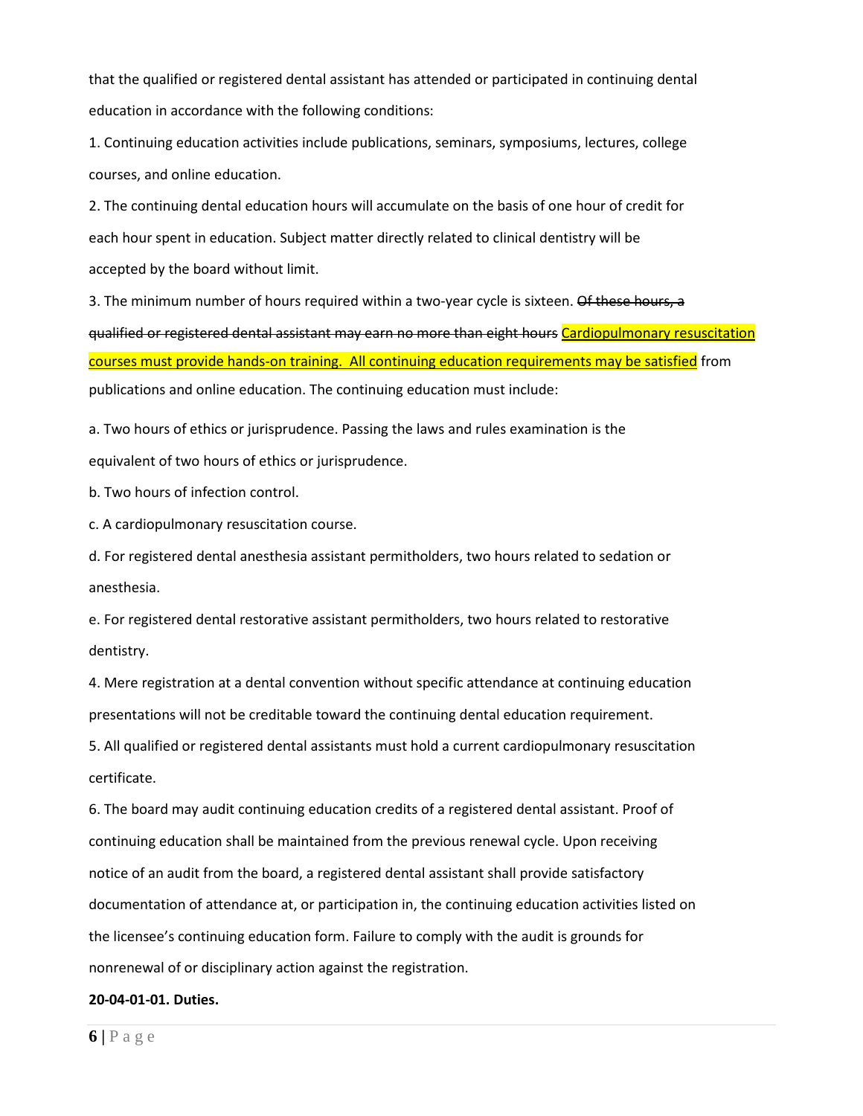that the qualified or registered dental assistant has attended or participated in continuing dental education in accordance with the following conditions:

1. Continuing education activities include publications, seminars, symposiums, lectures, college courses, and online education.

2. The continuing dental education hours will accumulate on the basis of one hour of credit for each hour spent in education. Subject matter directly related to clinical dentistry will be accepted by the board without limit.

3. The minimum number of hours required within a two-year cycle is sixteen. Of these hours, a qualified or registered dental assistant may earn no more than eight hours Cardiopulmonary resuscitation courses must provide hands-on training. All continuing education requirements may be satisfied from publications and online education. The continuing education must include:

a. Two hours of ethics or jurisprudence. Passing the laws and rules examination is the equivalent of two hours of ethics or jurisprudence.

b. Two hours of infection control.

c. A cardiopulmonary resuscitation course.

d. For registered dental anesthesia assistant permitholders, two hours related to sedation or anesthesia.

e. For registered dental restorative assistant permitholders, two hours related to restorative dentistry.

4. Mere registration at a dental convention without specific attendance at continuing education presentations will not be creditable toward the continuing dental education requirement.

5. All qualified or registered dental assistants must hold a current cardiopulmonary resuscitation certificate.

6. The board may audit continuing education credits of a registered dental assistant. Proof of continuing education shall be maintained from the previous renewal cycle. Upon receiving notice of an audit from the board, a registered dental assistant shall provide satisfactory documentation of attendance at, or participation in, the continuing education activities listed on the licensee's continuing education form. Failure to comply with the audit is grounds for nonrenewal of or disciplinary action against the registration.

#### **20-04-01-01. Duties.**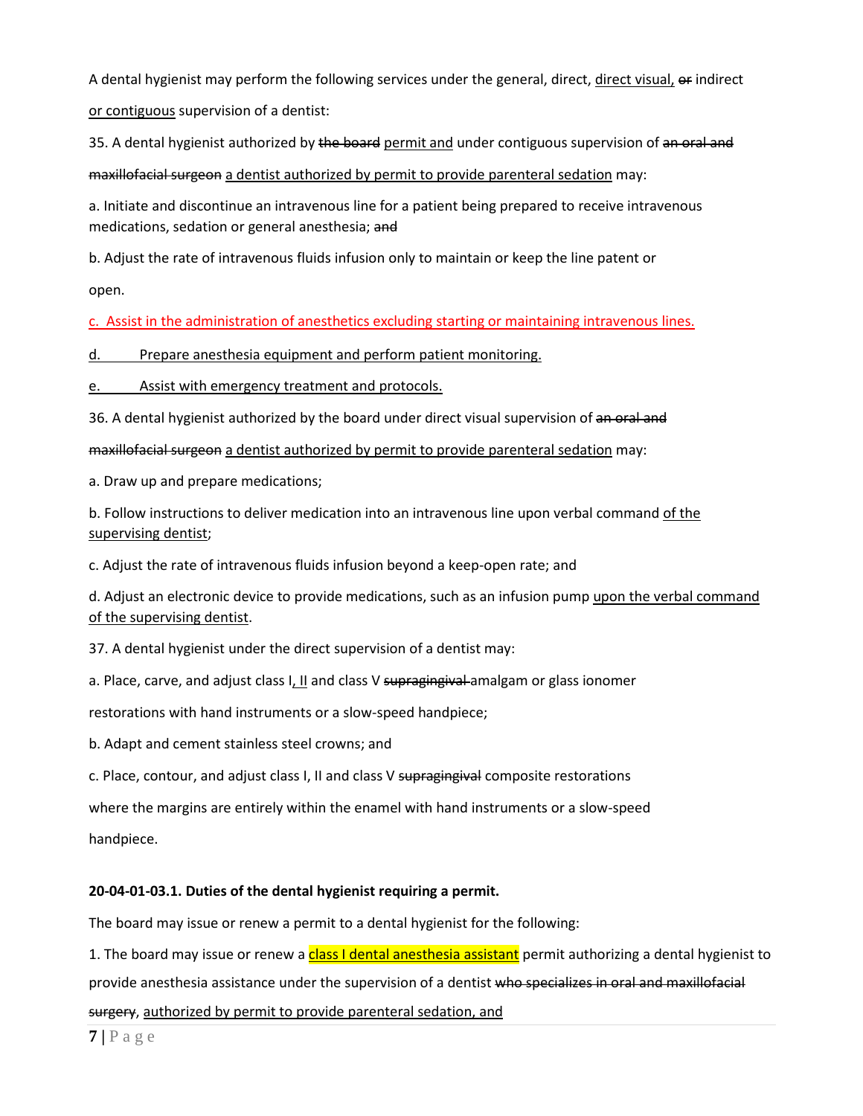A dental hygienist may perform the following services under the general, direct, direct visual, of indirect or contiguous supervision of a dentist:

35. A dental hygienist authorized by the board permit and under contiguous supervision of an oral and

maxillofacial surgeon a dentist authorized by permit to provide parenteral sedation may:

a. Initiate and discontinue an intravenous line for a patient being prepared to receive intravenous medications, sedation or general anesthesia; and

b. Adjust the rate of intravenous fluids infusion only to maintain or keep the line patent or

open.

c. Assist in the administration of anesthetics excluding starting or maintaining intravenous lines.

d. Prepare anesthesia equipment and perform patient monitoring.

e. Assist with emergency treatment and protocols.

36. A dental hygienist authorized by the board under direct visual supervision of an oral and

maxillofacial surgeon a dentist authorized by permit to provide parenteral sedation may:

a. Draw up and prepare medications;

b. Follow instructions to deliver medication into an intravenous line upon verbal command of the supervising dentist;

c. Adjust the rate of intravenous fluids infusion beyond a keep-open rate; and

d. Adjust an electronic device to provide medications, such as an infusion pump upon the verbal command of the supervising dentist.

37. A dental hygienist under the direct supervision of a dentist may:

a. Place, carve, and adjust class  $I, II$  and class V supragingival amalgam or glass ionomer

restorations with hand instruments or a slow-speed handpiece;

b. Adapt and cement stainless steel crowns; and

c. Place, contour, and adjust class I, II and class V supragingival composite restorations

where the margins are entirely within the enamel with hand instruments or a slow-speed

handpiece.

# **20-04-01-03.1. Duties of the dental hygienist requiring a permit.**

The board may issue or renew a permit to a dental hygienist for the following:

1. The board may issue or renew a class I dental anesthesia assistant permit authorizing a dental hygienist to provide anesthesia assistance under the supervision of a dentist who specializes in oral and maxillofacial surgery, authorized by permit to provide parenteral sedation, and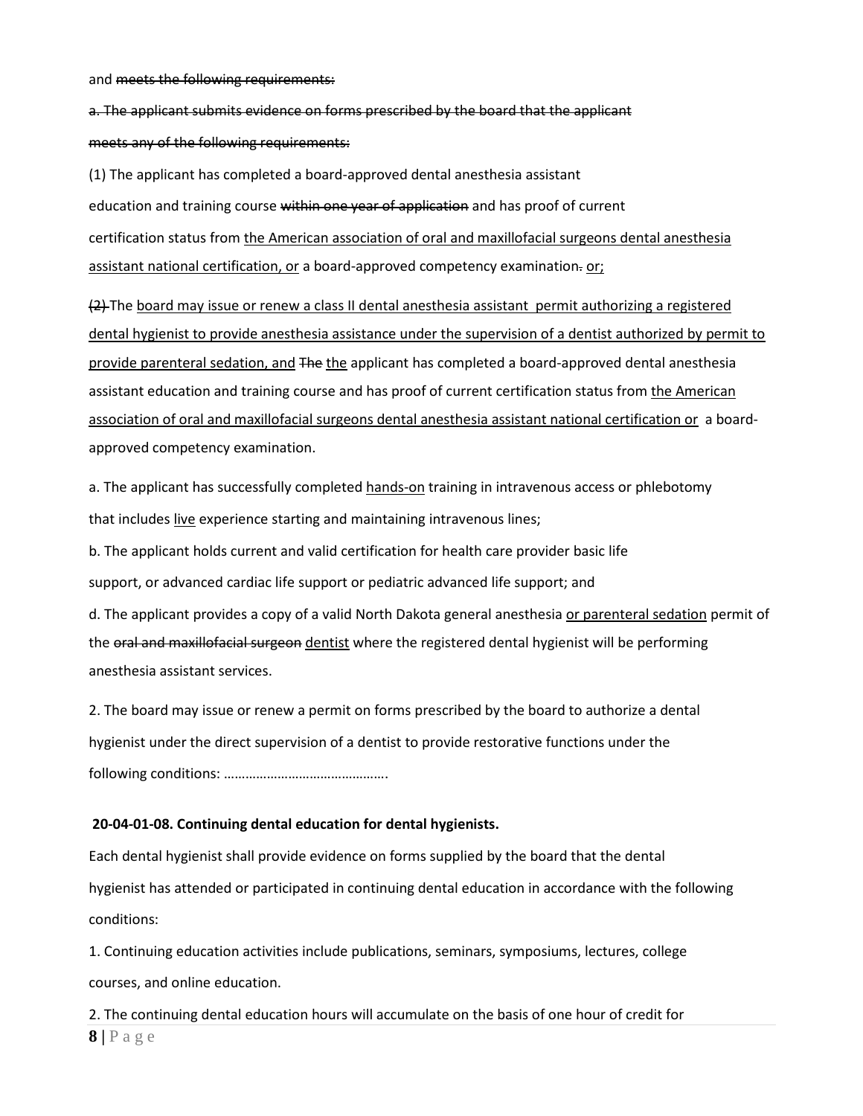and meets the following requirements:

a. The applicant submits evidence on forms prescribed by the board that the applicant meets any of the following requirements:

(1) The applicant has completed a board-approved dental anesthesia assistant education and training course within one year of application and has proof of current certification status from the American association of oral and maxillofacial surgeons dental anesthesia assistant national certification, or a board-approved competency examination- or;

(2) The board may issue or renew a class II dental anesthesia assistant permit authorizing a registered dental hygienist to provide anesthesia assistance under the supervision of a dentist authorized by permit to provide parenteral sedation, and The the applicant has completed a board-approved dental anesthesia assistant education and training course and has proof of current certification status from the American association of oral and maxillofacial surgeons dental anesthesia assistant national certification or a boardapproved competency examination.

a. The applicant has successfully completed hands-on training in intravenous access or phlebotomy that includes live experience starting and maintaining intravenous lines;

b. The applicant holds current and valid certification for health care provider basic life

support, or advanced cardiac life support or pediatric advanced life support; and

d. The applicant provides a copy of a valid North Dakota general anesthesia or parenteral sedation permit of the oral and maxillofacial surgeon dentist where the registered dental hygienist will be performing anesthesia assistant services.

2. The board may issue or renew a permit on forms prescribed by the board to authorize a dental hygienist under the direct supervision of a dentist to provide restorative functions under the following conditions: ……………………………………….

#### **20-04-01-08. Continuing dental education for dental hygienists.**

Each dental hygienist shall provide evidence on forms supplied by the board that the dental hygienist has attended or participated in continuing dental education in accordance with the following conditions:

1. Continuing education activities include publications, seminars, symposiums, lectures, college courses, and online education.

2. The continuing dental education hours will accumulate on the basis of one hour of credit for